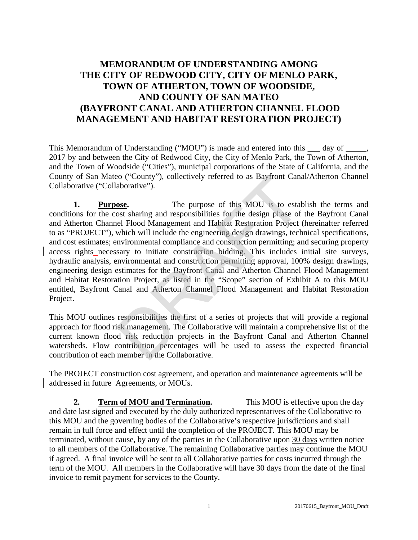This Memorandum of Understanding ("MOU") is made and entered into this  $\_\_\_$  day of  $\_\_\_\_$ 2017 by and between the City of Redwood City, the City of Menlo Park, the Town of Atherton, and the Town of Woodside ("Cities"), municipal corporations of the State of California, and the County of San Mateo ("County"), collectively referred to as Bayfront Canal/Atherton Channel Collaborative ("Collaborative").

**1. Purpose.** The purpose of this MOU is to establish the terms and conditions for the cost sharing and responsibilities for the design phase of the Bayfront Canal and Atherton Channel Flood Management and Habitat Restoration Project (hereinafter referred to as "PROJECT"), which will include the engineering design drawings, technical specifications, and cost estimates; environmental compliance and construction permitting; and securing property access rights necessary to initiate construction bidding. This includes initial site surveys, hydraulic analysis, environmental and construction permitting approval, 100% design drawings, engineering design estimates for the Bayfront Canal and Atherton Channel Flood Management and Habitat Restoration Project, as listed in the "Scope" section of Exhibit A to this MOU entitled, Bayfront Canal and Atherton Channel Flood Management and Habitat Restoration Project. county''), collectively reterred to as Bayfront Cana<br>aborative'').<br> **ose.** The purpose of this MOU is to estal<br>
ost sharing and responsibilities for the design phase of<br>
el Flood Management and Habitat Restoration Project<br>

This MOU outlines responsibilities the first of a series of projects that will provide a regional approach for flood risk management. The Collaborative will maintain a comprehensive list of the current known flood risk reduction projects in the Bayfront Canal and Atherton Channel watersheds. Flow contribution percentages will be used to assess the expected financial contribution of each member in the Collaborative.

The PROJECT construction cost agreement, and operation and maintenance agreements will be addressed in future Agreements, or MOUs.

**2. Term of MOU and Termination.** This MOU is effective upon the day and date last signed and executed by the duly authorized representatives of the Collaborative to this MOU and the governing bodies of the Collaborative's respective jurisdictions and shall remain in full force and effect until the completion of the PROJECT. This MOU may be terminated, without cause, by any of the parties in the Collaborative upon 30 days written notice to all members of the Collaborative. The remaining Collaborative parties may continue the MOU if agreed. A final invoice will be sent to all Collaborative parties for costs incurred through the term of the MOU. All members in the Collaborative will have 30 days from the date of the final invoice to remit payment for services to the County.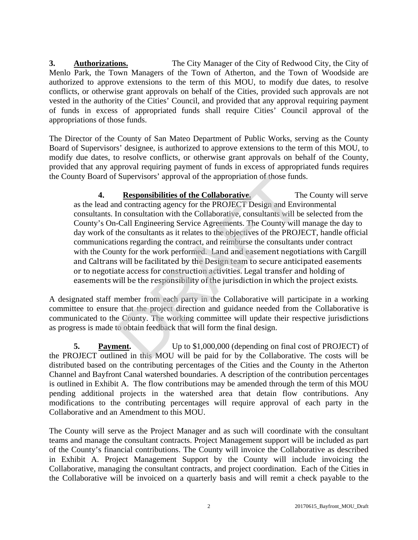**3.** Authorizations. The City Manager of the City of Redwood City, the City of Menlo Park, the Town Managers of the Town of Atherton, and the Town of Woodside are authorized to approve extensions to the term of this MOU, to modify due dates, to resolve conflicts, or otherwise grant approvals on behalf of the Cities, provided such approvals are not vested in the authority of the Cities' Council, and provided that any approval requiring payment of funds in excess of appropriated funds shall require Cities' Council approval of the appropriations of those funds.

The Director of the County of San Mateo Department of Public Works, serving as the County Board of Supervisors' designee, is authorized to approve extensions to the term of this MOU, to modify due dates, to resolve conflicts, or otherwise grant approvals on behalf of the County, provided that any approval requiring payment of funds in excess of appropriated funds requires the County Board of Supervisors' approval of the appropriation of those funds.

**4. Responsibilities of the Collaborative.** The County will serve as the lead and contracting agency for the PROJECT Design and Environmental consultants. In consultation with the Collaborative, consultants will be selected from the County's On-Call Engineering Service Agreements. The County will manage the day to day work of the consultants as it relates to the objectives of the PROJECT, handle official communications regarding the contract, and reimburse the consultants under contract with the County for the work performed. Land and easement negotiations with Cargill and Caltrans will be facilitated by the Design team to secure anticipated easements or to negotiate access for construction activities. Legal transfer and holding of easements will be the responsibility of the jurisdiction in which the project exists. Supervisors' approval of the appropriation of those tund<br> **Responsibilities of the Collaborative.** The contracting agency for the PROJECT Design and Environ consultation with the Collaborative, consultants will be call En

A designated staff member from each party in the Collaborative will participate in a working committee to ensure that the project direction and guidance needed from the Collaborative is communicated to the County. The working committee will update their respective jurisdictions as progress is made to obtain feedback that will form the final design.

**5.** Payment. Up to \$1,000,000 (depending on final cost of PROJECT) of the PROJECT outlined in this MOU will be paid for by the Collaborative. The costs will be distributed based on the contributing percentages of the Cities and the County in the Atherton Channel and Bayfront Canal watershed boundaries. A description of the contribution percentages is outlined in Exhibit A. The flow contributions may be amended through the term of this MOU pending additional projects in the watershed area that detain flow contributions. Any modifications to the contributing percentages will require approval of each party in the Collaborative and an Amendment to this MOU.

The County will serve as the Project Manager and as such will coordinate with the consultant teams and manage the consultant contracts. Project Management support will be included as part of the County's financial contributions. The County will invoice the Collaborative as described in Exhibit A. Project Management Support by the County will include invoicing the Collaborative, managing the consultant contracts, and project coordination. Each of the Cities in the Collaborative will be invoiced on a quarterly basis and will remit a check payable to the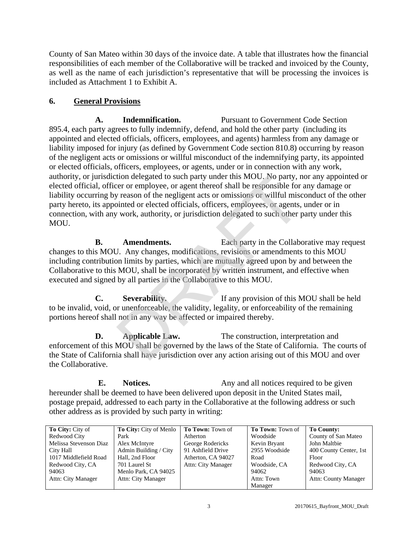County of San Mateo within 30 days of the invoice date. A table that illustrates how the financial responsibilities of each member of the Collaborative will be tracked and invoiced by the County, as well as the name of each jurisdiction's representative that will be processing the invoices is included as Attachment 1 to Exhibit A.

### **6. General Provisions**

**A. Indemnification.** Pursuant to Government Code Section 895.4, each party agrees to fully indemnify, defend, and hold the other party (including its appointed and elected officials, officers, employees, and agents) harmless from any damage or liability imposed for injury (as defined by Government Code section 810.8) occurring by reason of the negligent acts or omissions or willful misconduct of the indemnifying party, its appointed or elected officials, officers, employees, or agents, under or in connection with any work, authority, or jurisdiction delegated to such party under this MOU. No party, nor any appointed or elected official, officer or employee, or agent thereof shall be responsible for any damage or liability occurring by reason of the negligent acts or omissions or willful misconduct of the other party hereto, its appointed or elected officials, officers, employees, or agents, under or in connection, with any work, authority, or jurisdiction delegated to such other party under this MOU. tion delegated to such party under this MOU. No party, r<br>
ter or employee, or agent thereof shall be responsible for<br>
reason of the negligent acts or omissions or willful miss<br>
inted or elected officials, officers, employe

**B. Amendments. Each party in the Collaborative may request** changes to this MOU. Any changes, modifications, revisions or amendments to this MOU including contribution limits by parties, which are mutually agreed upon by and between the Collaborative to this MOU, shall be incorporated by written instrument, and effective when executed and signed by all parties in the Collaborative to this MOU.

**C. Severability.** If any provision of this MOU shall be held to be invalid, void, or unenforceable, the validity, legality, or enforceability of the remaining portions hereof shall not in any way be affected or impaired thereby.

**D.** Applicable Law. The construction, interpretation and enforcement of this MOU shall be governed by the laws of the State of California. The courts of the State of California shall have jurisdiction over any action arising out of this MOU and over the Collaborative.

**E.** Notices. Any and all notices required to be given hereunder shall be deemed to have been delivered upon deposit in the United States mail, postage prepaid, addressed to each party in the Collaborative at the following address or such other address as is provided by such party in writing:

| <b>To City: City of</b> | To City: City of Menlo | <b>To Town:</b> Town of | To Town: Town of | <b>To County:</b>           |
|-------------------------|------------------------|-------------------------|------------------|-----------------------------|
| Redwood City            | Park                   | Atherton                | Woodside         | County of San Mateo         |
| Melissa Stevenson Diaz  | Alex McIntyre          | George Rodericks        | Kevin Bryant     | John Maltbie                |
| City Hall               | Admin Building / City  | 91 Ashfield Drive       | 2955 Woodside    | 400 County Center, 1st      |
| 1017 Middlefield Road   | Hall, 2nd Floor        | Atherton, CA 94027      | Road             | Floor                       |
| Redwood City, CA        | 701 Laurel St          | Attn: City Manager      | Woodside, CA     | Redwood City, CA            |
| 94063                   | Menlo Park, CA 94025   |                         | 94062            | 94063                       |
| Attn: City Manager      | Attn: City Manager     |                         | Attn: Town       | <b>Attn: County Manager</b> |
|                         |                        |                         | Manager          |                             |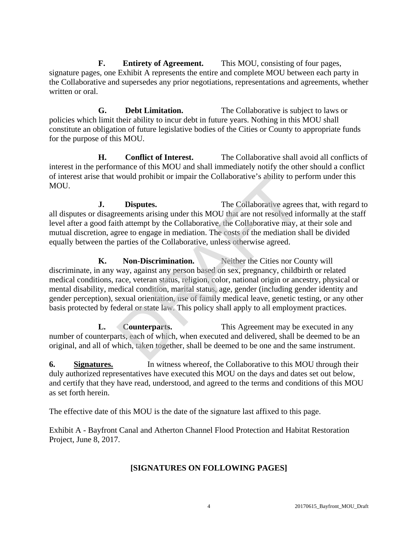**F. Entirety of Agreement.** This MOU, consisting of four pages, signature pages, one Exhibit A represents the entire and complete MOU between each party in the Collaborative and supersedes any prior negotiations, representations and agreements, whether written or oral.

**G. Debt Limitation.** The Collaborative is subject to laws or policies which limit their ability to incur debt in future years. Nothing in this MOU shall constitute an obligation of future legislative bodies of the Cities or County to appropriate funds for the purpose of this MOU.

**H. Conflict of Interest.** The Collaborative shall avoid all conflicts of interest in the performance of this MOU and shall immediately notify the other should a conflict of interest arise that would prohibit or impair the Collaborative's ability to perform under this **MOU.** 

**J.** Disputes. The Collaborative agrees that, with regard to all disputes or disagreements arising under this MOU that are not resolved informally at the staff level after a good faith attempt by the Collaborative, the Collaborative may, at their sole and mutual discretion, agree to engage in mediation. The costs of the mediation shall be divided equally between the parties of the Collaborative, unless otherwise agreed.

**K. Non-Discrimination.** Neither the Cities nor County will discriminate, in any way, against any person based on sex, pregnancy, childbirth or related medical conditions, race, veteran status, religion, color, national origin or ancestry, physical or mental disability, medical condition, marital status, age, gender (including gender identity and gender perception), sexual orientation, use of family medical leave, genetic testing, or any other basis protected by federal or state law. This policy shall apply to all employment practices. Would prohibit or impair the Collaborative's ability to pe<br>
Disputes. The Collaborative agrees<br>
eements arising under this MOU that are not resolved int<br>
th attempt by the Collaborative, the Collaborative may, a<br>
gree to e

**L.** Counterparts. This Agreement may be executed in any number of counterparts, each of which, when executed and delivered, shall be deemed to be an original, and all of which, taken together, shall be deemed to be one and the same instrument.

**6. Signatures.** In witness whereof, the Collaborative to this MOU through their duly authorized representatives have executed this MOU on the days and dates set out below, and certify that they have read, understood, and agreed to the terms and conditions of this MOU as set forth herein.

The effective date of this MOU is the date of the signature last affixed to this page.

Exhibit A - Bayfront Canal and Atherton Channel Flood Protection and Habitat Restoration Project, June 8, 2017.

## **[SIGNATURES ON FOLLOWING PAGES]**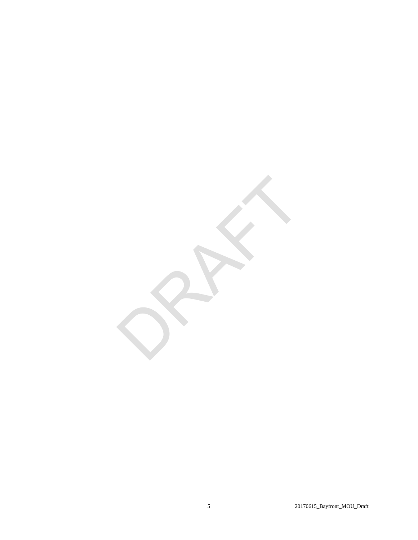RAFT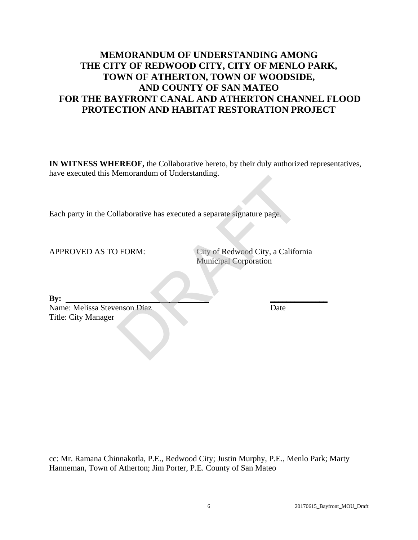**IN WITNESS WHEREOF,** the Collaborative hereto, by their duly authorized representatives, have executed this Memorandum of Understanding.

Each party in the Collaborative has executed a separate signature page.

APPROVED AS TO FORM: City of Redwood City, a California Municipal Corporation Machineaux of Charleston<br>
Machine and Separate signature page.<br>
DRAM:<br>
City of Redwood City, a Califor<br>
Municipal Corporation<br>
Pason Diaz<br>
Date

**By: \_\_\_\_\_\_\_\_\_\_\_\_\_\_** 

Name: Melissa Stevenson Diaz Date Title: City Manager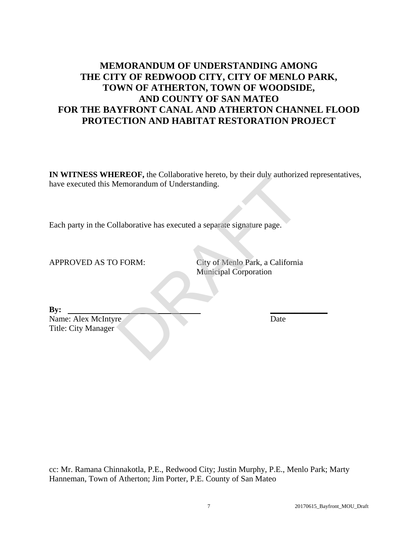**IN WITNESS WHEREOF,** the Collaborative hereto, by their duly authorized representatives, have executed this Memorandum of Understanding. EXECOP, the Conabotative hereto, by then duly admit<br>demorandum of Understanding.<br>Ilaborative has executed a separate signature page.<br>DEORM:<br>City of Menlo Park, a California<br>Municipal Corporation<br>Date

Each party in the Collaborative has executed a separate signature page.

APPROVED AS TO FORM: City of Menlo Park, a California Municipal Corporation

**By: \_\_\_\_\_\_\_\_\_\_\_\_\_\_** 

Name: Alex McIntyre Date Title: City Manager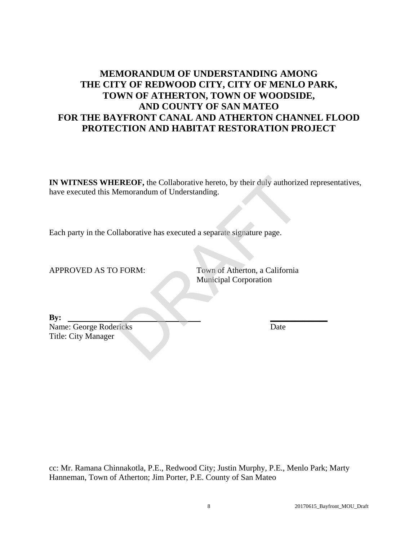**IN WITNESS WHEREOF,** the Collaborative hereto, by their duly authorized representatives, have executed this Memorandum of Understanding. EREOF, the Collaborative hereto, by their duly authorize<br>Memorandum of Understanding.<br>
Ilaborative has executed a separate signature page.<br>
DEORM:<br>
Town of Atherton, a California<br>
Municipal Corporation<br>
Tricks<br>
Date

Each party in the Collaborative has executed a separate signature page.

APPROVED AS TO FORM: Town of Atherton, a California

Municipal Corporation

**By: \_\_\_\_\_\_\_\_\_\_\_\_\_\_**  Name: George Rodericks Date Title: City Manager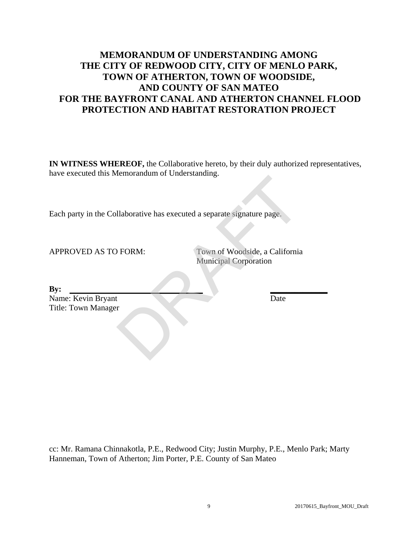**IN WITNESS WHEREOF,** the Collaborative hereto, by their duly authorized representatives, have executed this Memorandum of Understanding.

Each party in the Collaborative has executed a separate signature page.

APPROVED AS TO FORM: Town of Woodside, a California Municipal Corporation Machineaux of Charleston<br>
Machine page.<br>
DRAM: Town of Woodside, a California<br>
Municipal Corporation<br>
Tate<br>
P

**By: \_\_\_\_\_\_\_\_\_\_\_\_\_\_** 

Name: Kevin Bryant Date Title: Town Manager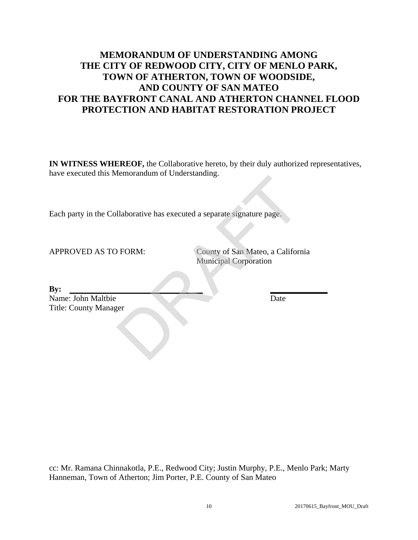**IN WITNESS WHEREOF,** the Collaborative hereto, by their duly authorized representatives, have executed this Memorandum of Understanding.

Each party in the Collaborative has executed a separate signature page.

APPROVED AS TO FORM: County of San Mateo, a California Municipal Corporation Machineaux of Charleston<br>
Machine page.<br>
DRAM: County of San Mateo, a Californ<br>
Municipal Corporation<br>
Date

**By: \_\_\_\_\_\_\_\_\_\_\_\_\_\_** 

Name: John Maltbie Date Title: County Manager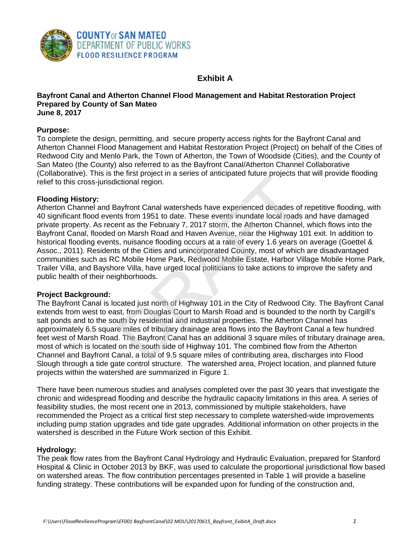

#### **Bayfront Canal and Atherton Channel Flood Management and Habitat Restoration Project Prepared by County of San Mateo June 8, 2017**

**Purpose:** 

To complete the design, permitting, and secure property access rights for the Bayfront Canal and Atherton Channel Flood Management and Habitat Restoration Project (Project) on behalf of the Cities of Redwood City and Menlo Park, the Town of Atherton, the Town of Woodside (Cities), and the County of San Mateo (the County) also referred to as the Bayfront Canal/Atherton Channel Collaborative (Collaborative). This is the first project in a series of anticipated future projects that will provide flooding relief to this cross-jurisdictional region.

#### **Flooding History:**

Atherton Channel and Bayfront Canal watersheds have experienced decades of repetitive flooding, with 40 significant flood events from 1951 to date. These events inundate local roads and have damaged private property. As recent as the February 7, 2017 storm, the Atherton Channel, which flows into the Bayfront Canal, flooded on Marsh Road and Haven Avenue, near the Highway 101 exit. In addition to historical flooding events, nuisance flooding occurs at a rate of every 1.6 years on average (Goettel & Assoc., 2011). Residents of the Cities and unincorporated County, most of which are disadvantaged communities such as RC Mobile Home Park, Redwood Mobile Estate, Harbor Village Mobile Home Park, Trailer Villa, and Bayshore Villa, have urged local politicians to take actions to improve the safety and public health of their neighborhoods. no met project in a sense of antisepated ratal o projects at<br>ayfront Canal watersheds have experienced decades of<br>the from 1951 to date. These events inundate local roads<br>on Marsh Road and Haven Avenue, near the Highway 1<br>

#### **Project Background:**

The Bayfront Canal is located just north of Highway 101 in the City of Redwood City. The Bayfront Canal extends from west to east, from Douglas Court to Marsh Road and is bounded to the north by Cargill's salt ponds and to the south by residential and industrial properties. The Atherton Channel has approximately 6.5 square miles of tributary drainage area flows into the Bayfront Canal a few hundred feet west of Marsh Road. The Bayfront Canal has an additional 3 square miles of tributary drainage area, most of which is located on the south side of Highway 101. The combined flow from the Atherton Channel and Bayfront Canal, a total of 9.5 square miles of contributing area, discharges into Flood Slough through a tide gate control structure. The watershed area, Project location, and planned future projects within the watershed are summarized in Figure 1.

There have been numerous studies and analyses completed over the past 30 years that investigate the chronic and widespread flooding and describe the hydraulic capacity limitations in this area. A series of feasibility studies, the most recent one in 2013, commissioned by multiple stakeholders, have recommended the Project as a critical first step necessary to complete watershed-wide improvements including pump station upgrades and tide gate upgrades. Additional information on other projects in the watershed is described in the Future Work section of this Exhibit.

#### **Hydrology:**

The peak flow rates from the Bayfront Canal Hydrology and Hydraulic Evaluation, prepared for Stanford Hospital & Clinic in October 2013 by BKF, was used to calculate the proportional jurisdictional flow based on watershed areas. The flow contribution percentages presented in Table 1 will provide a baseline funding strategy. These contributions will be expanded upon for funding of the construction and,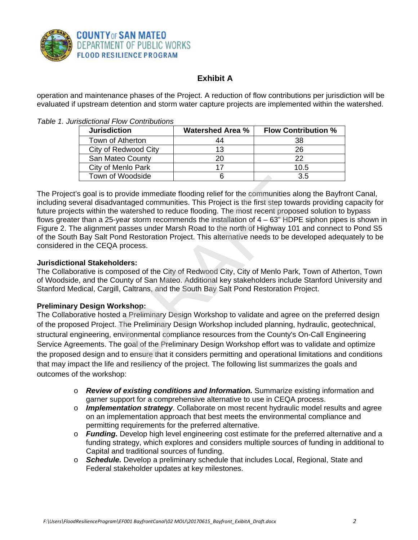

operation and maintenance phases of the Project. A reduction of flow contributions per jurisdiction will be evaluated if upstream detention and storm water capture projects are implemented within the watershed.

*Table 1. Jurisdictional Flow Contributions*

| <b>Jurisdiction</b>  | <b>Watershed Area %</b> | <b>Flow Contribution %</b> |  |  |  |
|----------------------|-------------------------|----------------------------|--|--|--|
| Town of Atherton     |                         | 38                         |  |  |  |
| City of Redwood City | 13                      | 26                         |  |  |  |
| San Mateo County     |                         | 22                         |  |  |  |
| City of Menlo Park   |                         | 10.5                       |  |  |  |
| Town of Woodside     |                         | 3.5                        |  |  |  |

The Project's goal is to provide immediate flooding relief for the communities along the Bayfront Canal, including several disadvantaged communities. This Project is the first step towards providing capacity for future projects within the watershed to reduce flooding. The most recent proposed solution to bypass flows greater than a 25-year storm recommends the installation of 4 – 63" HDPE siphon pipes is shown in Figure 2. The alignment passes under Marsh Road to the north of Highway 101 and connect to Pond S5 of the South Bay Salt Pond Restoration Project. This alternative needs to be developed adequately to be considered in the CEQA process. Woodside<br>
Sincovide immediate flooding relief for the communities alo<br>
antaged communities. This Project is the first step toware<br>
year storm recommends the installation of  $4 - 63$ " HDPE<br>
passes under Marsh Road to the no

#### **Jurisdictional Stakeholders:**

The Collaborative is composed of the City of Redwood City, City of Menlo Park, Town of Atherton, Town of Woodside, and the County of San Mateo. Additional key stakeholders include Stanford University and Stanford Medical, Cargill, Caltrans, and the South Bay Salt Pond Restoration Project.

#### **Preliminary Design Workshop:**

The Collaborative hosted a Preliminary Design Workshop to validate and agree on the preferred design of the proposed Project. The Preliminary Design Workshop included planning, hydraulic, geotechnical, structural engineering, environmental compliance resources from the County's On-Call Engineering Service Agreements. The goal of the Preliminary Design Workshop effort was to validate and optimize the proposed design and to ensure that it considers permitting and operational limitations and conditions that may impact the life and resiliency of the project. The following list summarizes the goals and outcomes of the workshop:

- o *Review of existing conditions and Information.* Summarize existing information and garner support for a comprehensive alternative to use in CEQA process.
- o *Implementation strategy*. Collaborate on most recent hydraulic model results and agree on an implementation approach that best meets the environmental compliance and permitting requirements for the preferred alternative.
- o *Funding.* Develop high level engineering cost estimate for the preferred alternative and a funding strategy, which explores and considers multiple sources of funding in additional to Capital and traditional sources of funding.
- o *Schedule.* Develop a preliminary schedule that includes Local, Regional, State and Federal stakeholder updates at key milestones.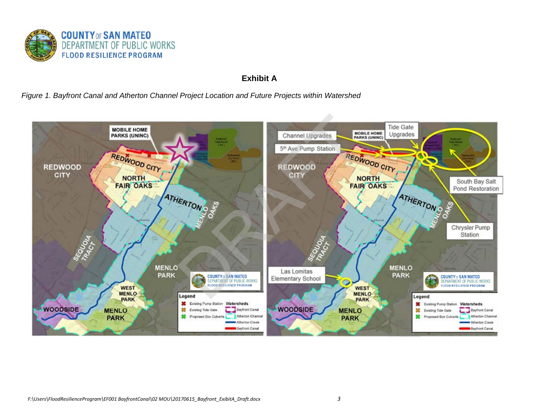

### *Figure 1. Bayfront Canal and Atherton Channel Project Location and Future Projects within Watershed*

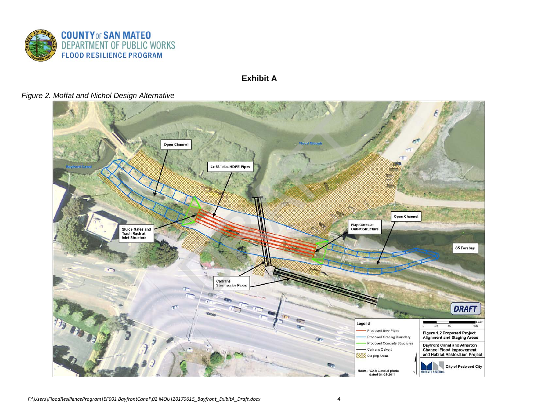

### *Figure 2. Moffat and Nichol Design Alternative*

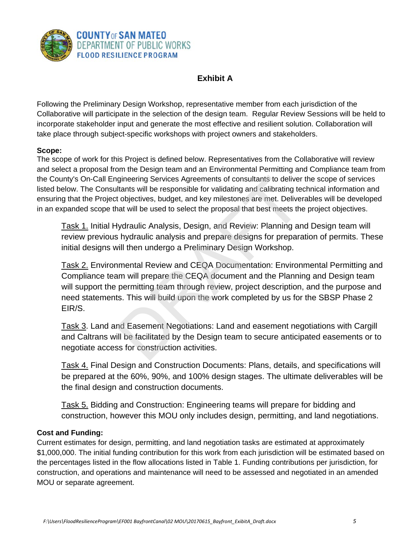

Following the Preliminary Design Workshop, representative member from each jurisdiction of the Collaborative will participate in the selection of the design team. Regular Review Sessions will be held to incorporate stakeholder input and generate the most effective and resilient solution. Collaboration will take place through subject-specific workshops with project owners and stakeholders.

### **Scope:**

The scope of work for this Project is defined below. Representatives from the Collaborative will review and select a proposal from the Design team and an Environmental Permitting and Compliance team from the County's On-Call Engineering Services Agreements of consultants to deliver the scope of services listed below. The Consultants will be responsible for validating and calibrating technical information and ensuring that the Project objectives, budget, and key milestones are met. Deliverables will be developed in an expanded scope that will be used to select the proposal that best meets the project objectives.

Task 1. Initial Hydraulic Analysis, Design, and Review: Planning and Design team will review previous hydraulic analysis and prepare designs for preparation of permits. These initial designs will then undergo a Preliminary Design Workshop.

Task 2. Environmental Review and CEQA Documentation: Environmental Permitting and Compliance team will prepare the CEQA document and the Planning and Design team will support the permitting team through review, project description, and the purpose and need statements. This will build upon the work completed by us for the SBSP Phase 2 EIR/S. gineering Services Agreements of consultants to deliver<br>Itants will be responsible for validating and calibrating te<br>t objectives, budget, and key milestones are met. Delive<br>nat will be used to select the proposal that bes

Task 3. Land and Easement Negotiations: Land and easement negotiations with Cargill and Caltrans will be facilitated by the Design team to secure anticipated easements or to negotiate access for construction activities.

Task 4. Final Design and Construction Documents: Plans, details, and specifications will be prepared at the 60%, 90%, and 100% design stages. The ultimate deliverables will be the final design and construction documents.

Task 5. Bidding and Construction: Engineering teams will prepare for bidding and construction, however this MOU only includes design, permitting, and land negotiations.

### **Cost and Funding:**

Current estimates for design, permitting, and land negotiation tasks are estimated at approximately \$1,000,000. The initial funding contribution for this work from each jurisdiction will be estimated based on the percentages listed in the flow allocations listed in Table 1. Funding contributions per jurisdiction, for construction, and operations and maintenance will need to be assessed and negotiated in an amended MOU or separate agreement.